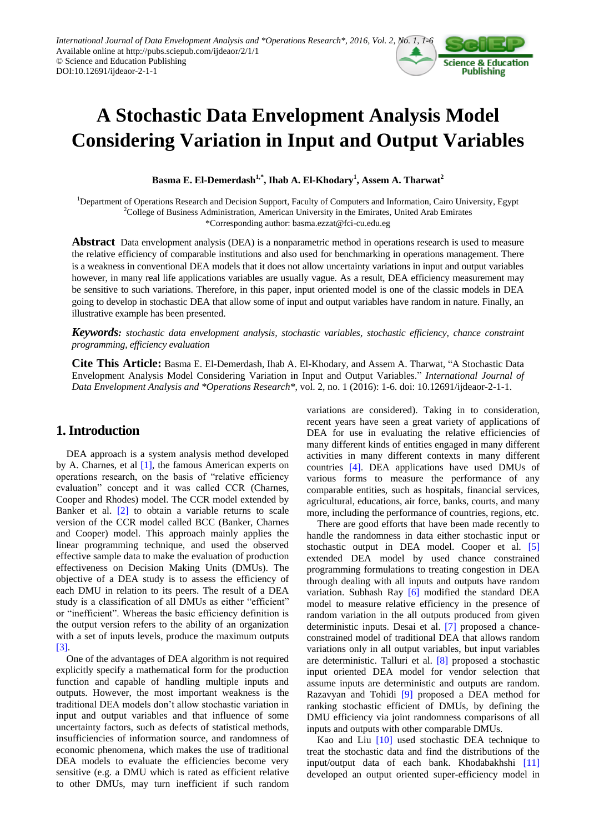

# **A Stochastic Data Envelopment Analysis Model Considering Variation in Input and Output Variables**

**Basma E. El-Demerdash1,\* , Ihab A. El-Khodary<sup>1</sup> , Assem A. Tharwat<sup>2</sup>**

<sup>1</sup>Department of Operations Research and Decision Support, Faculty of Computers and Information, Cairo University, Egypt <sup>2</sup>College of Business Administration, American University in the Emirates, United Arab Emirates \*Corresponding author: basma.ezzat@fci-cu.edu.eg

**Abstract** Data envelopment analysis (DEA) is a nonparametric method in [operations research](http://en.wikipedia.org/wiki/Operations_research) is used to measure the relative efficiency of comparable institutions and also used for benchmarking in operations management. There is a weakness in conventional DEA models that it does not allow uncertainty variations in input and output variables however, in many real life applications variables are usually vague. As a result, DEA efficiency measurement may be sensitive to such variations. Therefore, in this paper, input oriented model is one of the classic models in DEA going to develop in stochastic DEA that allow some of input and output variables have random in nature. Finally, an illustrative example has been presented.

*Keywords: stochastic data envelopment analysis, stochastic variables, stochastic efficiency, chance constraint programming, efficiency evaluation*

**Cite This Article:** Basma E. El-Demerdash, Ihab A. El-Khodary, and Assem A. Tharwat, "A Stochastic Data Envelopment Analysis Model Considering Variation in Input and Output Variables." *International Journal of Data Envelopment Analysis and \*Operations Research\**, vol. 2, no. 1 (2016): 1-6. doi: 10.12691/ijdeaor-2-1-1.

# **1. Introduction**

DEA approach is a system analysis method developed by A. Charnes, et al [\[1\],](#page-4-0) the famous American experts on operations research, on the basis of "relative efficiency evaluation" concept and it was called CCR (Charnes, Cooper and Rhodes) model. The CCR model extended by Banker et al. [\[2\]](#page-4-1) to obtain a variable returns to scale version of the CCR model called BCC (Banker, Charnes and Cooper) model. This approach mainly applies the linear programming technique, and used the observed effective sample data to make the evaluation of production effectiveness on Decision Making Units (DMUs). The objective of a DEA study is to assess the efficiency of each DMU in relation to its peers. The result of a DEA study is a classification of all DMUs as either "efficient" or "inefficient". Whereas the basic efficiency definition is the output version refers to the ability of an organization with a set of inputs levels, produce the maximum outputs [\[3\].](#page-4-2)

One of the advantages of DEA algorithm is not required explicitly specify a mathematical form for the production function and capable of handling multiple inputs and outputs. However, the most important weakness is the traditional DEA models don"t allow stochastic variation in input and output variables and that influence of some uncertainty factors, such as defects of statistical methods, insufficiencies of information source, and randomness of economic phenomena, which makes the use of traditional DEA models to evaluate the efficiencies become very sensitive (e.g. a DMU which is rated as efficient relative to other DMUs, may turn inefficient if such random

variations are considered). Taking in to consideration, recent years have seen a great variety of applications of DEA for use in evaluating the relative efficiencies of many different kinds of entities engaged in many different activities in many different contexts in many different countries [\[4\].](#page-4-3) DEA applications have used DMUs of various forms to measure the performance of any comparable entities, such as hospitals, financial services, agricultural, educations, air force, banks, courts, and many more, including the performance of countries, regions, etc.

There are good efforts that have been made recently to handle the randomness in data either stochastic input or stochastic output in DEA model. Cooper et al. [\[5\]](#page-4-4) extended DEA model by used chance constrained programming formulations to treating congestion in DEA through dealing with all inputs and outputs have random variation. Subhash Ray [\[6\]](#page-4-5) modified the standard DEA model to measure relative efficiency in the presence of random variation in the all outputs produced from given deterministic inputs. Desai et al. [\[7\]](#page-4-6) proposed a chanceconstrained model of traditional DEA that allows random variations only in all output variables, but input variables are deterministic. Talluri et al. [\[8\]](#page-4-7) proposed a stochastic input oriented DEA model for vendor selection that assume inputs are deterministic and outputs are random. Razavyan and Tohidi [\[9\]](#page-4-8) proposed a DEA method for ranking stochastic efficient of DMUs, by defining the DMU efficiency via joint randomness comparisons of all inputs and outputs with other comparable DMUs.

Kao and Liu [\[10\]](#page-4-9) used stochastic DEA technique to treat the stochastic data and find the distributions of the input/output data of each bank. Khodabakhshi [\[11\]](#page-4-10) developed an output oriented super-efficiency model in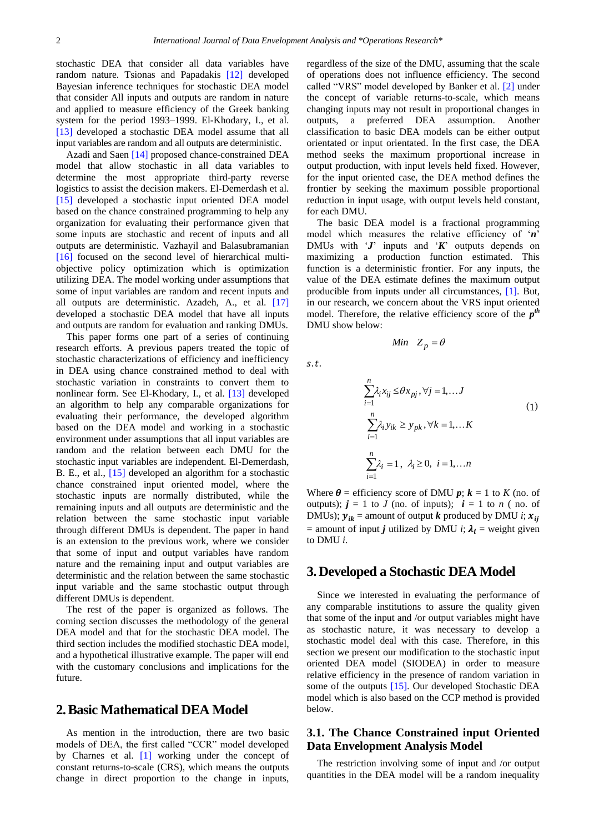stochastic DEA that consider all data variables have random nature. Tsionas and Papadakis [\[12\]](#page-4-11) developed Bayesian inference techniques for stochastic DEA model that consider All inputs and outputs are random in nature and applied to measure efficiency of the Greek banking system for the period 1993–1999. El-Khodary, I., et al. [\[13\]](#page-4-12) developed a stochastic DEA model assume that all input variables are random and all outputs are deterministic.

Azadi and Saen [\[14\]](#page-4-13) proposed chance-constrained DEA model that allow stochastic in all data variables to determine the most appropriate third-party reverse logistics to assist the decision makers. El-Demerdash et al. [\[15\]](#page-4-14) developed a stochastic input oriented DEA model based on the chance constrained programming to help any organization for evaluating their performance given that some inputs are stochastic and recent of inputs and all outputs are deterministic. Vazhayil and Balasubramanian [\[16\]](#page-5-0) focused on the second level of hierarchical multiobjective policy optimization which is optimization utilizing DEA. The model working under assumptions that some of input variables are random and recent inputs and all outputs are deterministic. Azadeh, A., et al. [\[17\]](#page-5-1) developed a stochastic DEA model that have all inputs and outputs are random for evaluation and ranking DMUs.

This paper forms one part of a series of continuing research efforts. A previous papers treated the topic of stochastic characterizations of efficiency and inefficiency in DEA using chance constrained method to deal with stochastic variation in constraints to convert them to nonlinear form. See El-Khodary, I., et al. [\[13\]](#page-4-12) developed an algorithm to help any comparable organizations for evaluating their performance, the developed algorithm based on the DEA model and working in a stochastic environment under assumptions that all input variables are random and the relation between each DMU for the stochastic input variables are independent. El-Demerdash, B. E., et al., [\[15\]](#page-4-14) developed an algorithm for a stochastic chance constrained input oriented model, where the stochastic inputs are normally distributed, while the remaining inputs and all outputs are deterministic and the relation between the same stochastic input variable through different DMUs is dependent. The paper in hand is an extension to the previous work, where we consider that some of input and output variables have random nature and the remaining input and output variables are deterministic and the relation between the same stochastic input variable and the same stochastic output through different DMUs is dependent.

The rest of the paper is organized as follows. The coming section discusses the methodology of the general DEA model and that for the stochastic DEA model. The third section includes the modified stochastic DEA model, and a hypothetical illustrative example. The paper will end with the customary conclusions and implications for the future.

## **2.Basic Mathematical DEA Model**

As mention in the introduction, there are two basic models of DEA, the first called "CCR" model developed by Charnes et al. [\[1\]](#page-4-0) working under the concept of constant returns-to-scale (CRS), which means the outputs change in direct proportion to the change in inputs, regardless of the size of the DMU, assuming that the scale of operations does not influence efficiency. The second called "VRS" model developed by Banker et al. [\[2\]](#page-4-1) under the concept of variable returns-to-scale, which means changing inputs may not result in proportional changes in outputs, a preferred DEA assumption. Another classification to basic DEA models can be either output orientated or input orientated. In the first case, the DEA method seeks the maximum proportional increase in output production, with input levels held fixed. However, for the input oriented case, the DEA method defines the frontier by seeking the maximum possible proportional reduction in input usage, with output levels held constant, for each DMU.

The basic DEA model is a fractional programming model which measures the relative efficiency of "*n*" DMUs with "*J*" inputs and "*K*" outputs depends on maximizing a production function estimated. This function is a deterministic frontier. For any inputs, the value of the DEA estimate defines the maximum output producible from inputs under all circumstances, [\[1\].](#page-4-0) But, in our research, we concern about the VRS input oriented model. Therefore, the relative efficiency score of the *p th* DMU show below:

*Min*  $Z_p = \theta$ 

 $s, t$ .

$$
\sum_{i=1}^{n} \lambda_i x_{ij} \leq \theta x_{pj}, \forall j = 1,...J
$$
  

$$
\sum_{i=1}^{n} \lambda_i y_{ik} \geq y_{pk}, \forall k = 1,...K
$$
  

$$
\sum_{i=1}^{n} \lambda_i = 1, \quad \lambda_i \geq 0, \quad i = 1,...n
$$
  
(1)

Where  $\theta$  = efficiency score of DMU  $p$ ;  $k = 1$  to *K* (no. of outputs);  $j = 1$  to *J* (no. of inputs);  $i = 1$  to *n* (no. of DMUs);  $y_{ik}$  = amount of output *k* produced by DMU *i*;  $x_{ii}$ = amount of input *j* utilized by DMU *i*;  $\lambda_i$  = weight given to DMU *i*.

## **3.Developed a Stochastic DEA Model**

Since we interested in evaluating the performance of any comparable institutions to assure the quality given that some of the input and /or output variables might have as stochastic nature, it was necessary to develop a stochastic model deal with this case. Therefore, in this section we present our modification to the stochastic input oriented DEA model (SIODEA) in order to measure relative efficiency in the presence of random variation in some of the outputs [\[15\].](#page-4-14) Our developed Stochastic DEA model which is also based on the CCP method is provided below.

### **3.1. The Chance Constrained input Oriented Data Envelopment Analysis Model**

The restriction involving some of input and /or output quantities in the DEA model will be a random inequality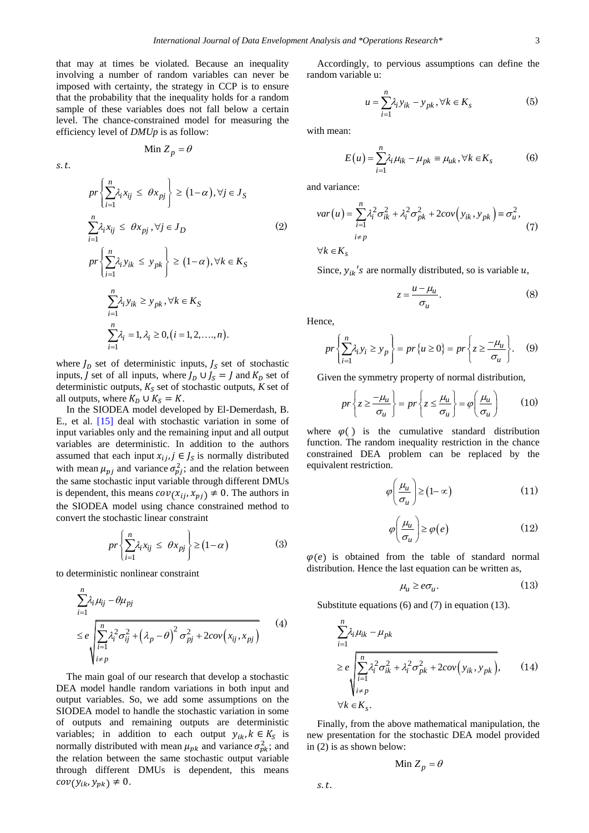that may at times be violated. Because an inequality involving a number of random variables can never be imposed with certainty, the strategy in CCP is to ensure that the probability that the inequality holds for a random sample of these variables does not fall below a certain level. The chance-constrained model for measuring the efficiency level of *DMUp* is as follow:

$$
Min Z_p = \theta
$$

 $s.t.$ 

$$
pr\left\{\sum_{i=1}^{n} \lambda_{i} x_{ij} \leq \theta x_{pj}\right\} \geq (1-\alpha), \forall j \in J_{S}
$$
  

$$
\sum_{i=1}^{n} \lambda_{i} x_{ij} \leq \theta x_{pj}, \forall j \in J_{D}
$$
  

$$
pr\left\{\sum_{i=1}^{n} \lambda_{i} y_{ik} \leq y_{pk}\right\} \geq (1-\alpha), \forall k \in K_{S}
$$
  

$$
\sum_{i=1}^{n} \lambda_{i} y_{ik} \geq y_{pk}, \forall k \in K_{S}
$$
  

$$
\sum_{i=1}^{n} \lambda_{i} = 1, \lambda_{i} \geq 0, (i = 1, 2, ..., n).
$$

where  $J<sub>D</sub>$  set of deterministic inputs,  $J<sub>S</sub>$  set of stochastic inputs, J set of all inputs, where  $J_D \cup J_S = J$  and  $K_D$  set of deterministic outputs,  $K<sub>S</sub>$  set of stochastic outputs,  $K$  set of all outputs, where  $K_D \cup K_S = K$ .

In the SIODEA model developed by El-Demerdash, B. E., et al. [\[15\]](#page-4-14) deal with stochastic variation in some of input variables only and the remaining input and all output variables are deterministic. In addition to the authors assumed that each input  $x_{ij}$ ,  $j \in J_s$  is normally distributed with mean  $\mu_{ni}$  and variance  $\sigma_{ni}^2$ ; and the relation between the same stochastic input variable through different DMUs is dependent, this means  $cov(x_{ij}, x_{pj}) \neq 0$ . The authors in the SIODEA model using chance constrained method to convert the stochastic linear constraint

$$
pr\left\{\sum_{i=1}^{n} \lambda_i x_{ij} \leq \theta x_{pj}\right\} \geq (1-\alpha) \tag{3}
$$

to deterministic nonlinear constraint

$$
\sum_{i=1}^{n} \lambda_i \mu_{ij} - \theta \mu_{pj}
$$
\n
$$
\leq e \sqrt{\sum_{i=1}^{n} \lambda_i^2 \sigma_{ij}^2 + (\lambda_p - \theta)^2 \sigma_{pj}^2 + 2cov(x_{ij}, x_{pj})}
$$
\n(4)

The main goal of our research that develop a stochastic DEA model handle random variations in both input and output variables. So, we add some assumptions on the SIODEA model to handle the stochastic variation in some of outputs and remaining outputs are deterministic variables; in addition to each output  $y_{ik}$ ,  $k \in K_S$  is normally distributed with mean  $\mu_{\nu k}$  and variance  $\sigma_{\nu k}^2$ ; and the relation between the same stochastic output variable through different DMUs is dependent, this means  $cov(y_{ik}, y_{pk}) \neq 0.$ 

Accordingly, to pervious assumptions can define the random variable u:

$$
u = \sum_{i=1}^{n} \lambda_i y_{ik} - y_{pk}, \forall k \in K_s
$$
 (5)

with mean:

$$
E(u) = \sum_{i=1}^{n} \lambda_i \mu_{ik} - \mu_{pk} = \mu_{uk}, \forall k \in K_s
$$
 (6)

and variance:

$$
var(u) = \sum_{i=1}^{n} \lambda_i^2 \sigma_{ik}^2 + \lambda_i^2 \sigma_{pk}^2 + 2cov(y_{ik}, y_{pk}) \equiv \sigma_u^2,
$$
  
\n
$$
\forall k \in K_s
$$
 (7)

Since,  $y_{ik}$ 's are normally distributed, so is variable u,

$$
z = \frac{u - \mu_u}{\sigma_u}.\tag{8}
$$

Hence,

$$
pr\left\{\sum_{i=1}^{n} \lambda_i y_i \ge y_p\right\} = pr\left\{u \ge 0\right\} = pr\left\{z \ge \frac{-\mu_u}{\sigma_u}\right\}.
$$
 (9)

Given the symmetry property of normal distribution,

$$
pr\left\{z \ge \frac{-\mu_u}{\sigma_u}\right\} = pr\left\{z \le \frac{\mu_u}{\sigma_u}\right\} = \varphi\left(\frac{\mu_u}{\sigma_u}\right) \tag{10}
$$

where  $\varphi$ () is the cumulative standard distribution function. The random inequality restriction in the chance constrained DEA problem can be replaced by the equivalent restriction.

$$
\varphi\left(\frac{\mu_u}{\sigma_u}\right) \ge (1-\infty) \tag{11}
$$

$$
\varphi\!\left(\frac{\mu_u}{\sigma_u}\right) \ge \varphi\!\left(e\right) \tag{12}
$$

 $\varphi$ (e) is obtained from the table of standard normal distribution. Hence the last equation can be written as,

$$
\mu_u \ge e \sigma_u. \tag{13}
$$

Substitute equations (6) and (7) in equation (13).

$$
\sum_{i=1}^{n} \lambda_i \mu_{ik} - \mu_{pk}
$$
\n
$$
\geq e \sqrt{\sum_{i=1}^{n} \lambda_i^2 \sigma_{ik}^2 + \lambda_i^2 \sigma_{pk}^2 + 2cov(y_{ik}, y_{pk})},
$$
\n
$$
\forall k \in K_s.
$$
\n(14)

Finally, from the above mathematical manipulation, the new presentation for the stochastic DEA model provided in (2) is as shown below:

$$
\text{Min } Z_p = \theta
$$

 $s.t.$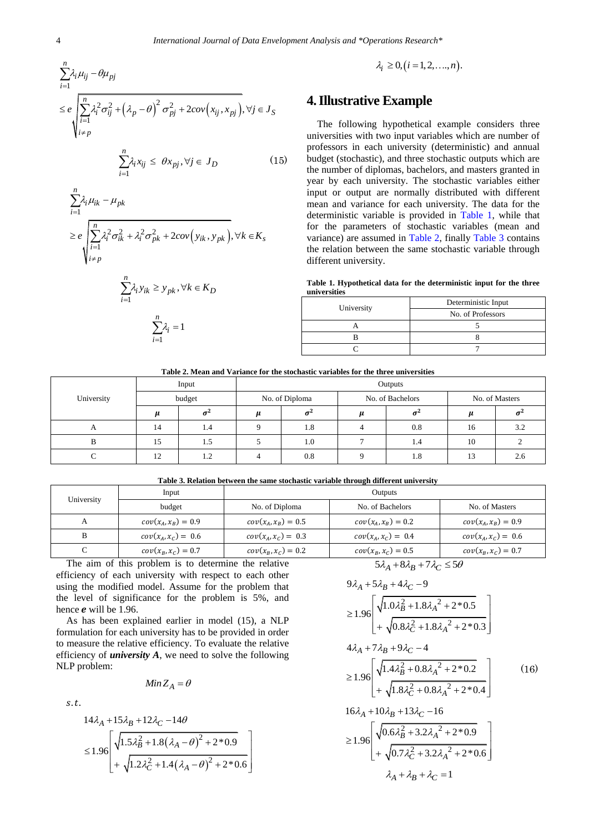$$
\sum_{i=1}^{n} \lambda_i \mu_{ij} - \theta \mu_{pj}
$$
\n
$$
\leq e \sqrt{\sum_{i=1}^{n} \lambda_i^2 \sigma_{ij}^2 + (\lambda_p - \theta)^2 \sigma_{pj}^2 + 2\text{cov}(x_{ij}, x_{pj}), \forall j \in J_S}
$$
\n
$$
\forall j \in J_S
$$

$$
\sum_{i=1}^{n} \lambda_i x_{ij} \le \theta x_{pj}, \forall j \in J_D \tag{15}
$$

$$
\sum_{i=1}^{n} \lambda_i \mu_{ik} - \mu_{pk}
$$
\n
$$
\ge e \sqrt{\sum_{i=1}^{n} \lambda_i^2 \sigma_{ik}^2 + \lambda_i^2 \sigma_{pk}^2 + 2cov(y_{ik}, y_{pk})}, \forall k \in K_s
$$
\n
$$
\begin{cases}\n\sum_{i=1}^{n} \lambda_i^2 \sigma_{ik}^2 + \lambda_i^2 \sigma_{pk}^2 + 2cov(y_{ik}, y_{pk}), \forall k \in K_s\n\end{cases}
$$

$$
\sum_{i=1}^{n} \lambda_i y_{ik} \ge y_{pk}, \forall k \in K_D
$$
  

$$
\sum_{i=1}^{n} \lambda_i = 1
$$

1  $i=1$ 

*i* λ.  $=$ 

 $\lambda_i \geq 0, (i = 1, 2, \ldots, n).$ 

# **4.Illustrative Example**

The following hypothetical example considers three universities with two input variables which are number of professors in each university (deterministic) and annual budget (stochastic), and three stochastic outputs which are the number of diplomas, bachelors, and masters granted in year by each university. The stochastic variables either input or output are normally distributed with different mean and variance for each university. The data for the deterministic variable is provided in [Table 1,](#page-3-0) while that for the parameters of stochastic variables (mean and variance) are assumed in [Table 2,](#page-3-1) finally [Table 3](#page-3-2) contains the relation between the same stochastic variable through different university.

**Table 1. Hypothetical data for the deterministic input for the three universities**

<span id="page-3-0"></span>

| University | Deterministic Input |  |
|------------|---------------------|--|
|            | No. of Professors   |  |
|            |                     |  |
|            |                     |  |
|            |                     |  |

**Table 2. Mean and Variance for the stochastic variables for the three universities**

<span id="page-3-1"></span>

|            | Input  |               | Outputs        |     |                  |     |                      |     |
|------------|--------|---------------|----------------|-----|------------------|-----|----------------------|-----|
| University | budget |               | No. of Diploma |     | No. of Bachelors |     | No. of Masters       |     |
|            |        |               |                |     |                  |     |                      |     |
| A          | 14     | 1.4           |                | 1.8 |                  | 0.8 | 16                   | 3.2 |
| D          | 15     | ل. 1          |                | 1.0 |                  | 1.4 | 10                   |     |
|            | 12     | $\sim$<br>1.2 |                | 0.8 |                  | 1.8 | 1 <sub>2</sub><br>13 | 2.0 |

**Table 3. Relation between the same stochastic variable through different university**

<span id="page-3-2"></span>

| University | Input                 | Outputs               |                       |                       |  |
|------------|-----------------------|-----------------------|-----------------------|-----------------------|--|
|            | budget                | No. of Diploma        | No. of Bachelors      | No. of Masters        |  |
| А          | $cov(x_A, x_B) = 0.9$ | $cov(x_A, x_B) = 0.5$ | $cov(x_A, x_B) = 0.2$ | $cov(x_A, x_B) = 0.9$ |  |
| B          | $cov(x_A, x_C) = 0.6$ | $cov(x_A, x_C) = 0.3$ | $cov(x_A, x_C) = 0.4$ | $cov(x_A, x_C) = 0.6$ |  |
|            | $cov(x_B, x_C) = 0.7$ | $cov(x_B, x_C) = 0.2$ | $cov(x_B, x_C) = 0.5$ | $cov(x_B, x_C) = 0.7$ |  |
|            |                       |                       |                       |                       |  |

The aim of this problem is to determine the relative efficiency of each university with respect to each other using the modified model. Assume for the problem that the level of significance for the problem is 5%, and hence  $e$  will be 1.96.

As has been explained earlier in model (15), a NLP formulation for each university has to be provided in order to measure the relative efficiency. To evaluate the relative efficiency of *university A*, we need to solve the following NLP problem:

$$
Min Z_A = \theta
$$

 $s.t.$ 

$$
14\lambda_A + 15\lambda_B + 12\lambda_C - 14\theta
$$
  
\n
$$
\leq 1.96 \left[ \sqrt{1.5\lambda_B^2 + 1.8(\lambda_A - \theta)^2 + 2 \cdot 0.9} + \sqrt{1.2\lambda_C^2 + 1.4(\lambda_A - \theta)^2 + 2 \cdot 0.6} \right]
$$

$$
5\lambda_A + 8\lambda_B + 7\lambda_C \le 5\theta
$$

$$
9\lambda_{A} + 5\lambda_{B} + 4\lambda_{C} - 9
$$
\n
$$
\geq 1.96 \left[ \sqrt{1.0\lambda_{B}^{2} + 1.8\lambda_{A}^{2} + 2^{*}0.5} + \sqrt{0.8\lambda_{C}^{2} + 1.8\lambda_{A}^{2} + 2^{*}0.3} \right]
$$
\n
$$
4\lambda_{A} + 7\lambda_{B} + 9\lambda_{C} - 4
$$
\n
$$
\geq 1.96 \left[ \sqrt{1.4\lambda_{B}^{2} + 0.8\lambda_{A}^{2} + 2^{*}0.2} + \sqrt{1.8\lambda_{C}^{2} + 0.8\lambda_{A}^{2} + 2^{*}0.4} \right]
$$
\n
$$
16\lambda_{A} + 10\lambda_{B} + 13\lambda_{C} - 16
$$
\n
$$
\geq 1.96 \left[ \sqrt{0.6\lambda_{B}^{2} + 3.2\lambda_{A}^{2} + 2^{*}0.9} + \sqrt{0.7\lambda_{C}^{2} + 3.2\lambda_{A}^{2} + 2^{*}0.6} \right]
$$
\n
$$
\lambda_{A} + \lambda_{B} + \lambda_{C} = 1
$$
\n(16)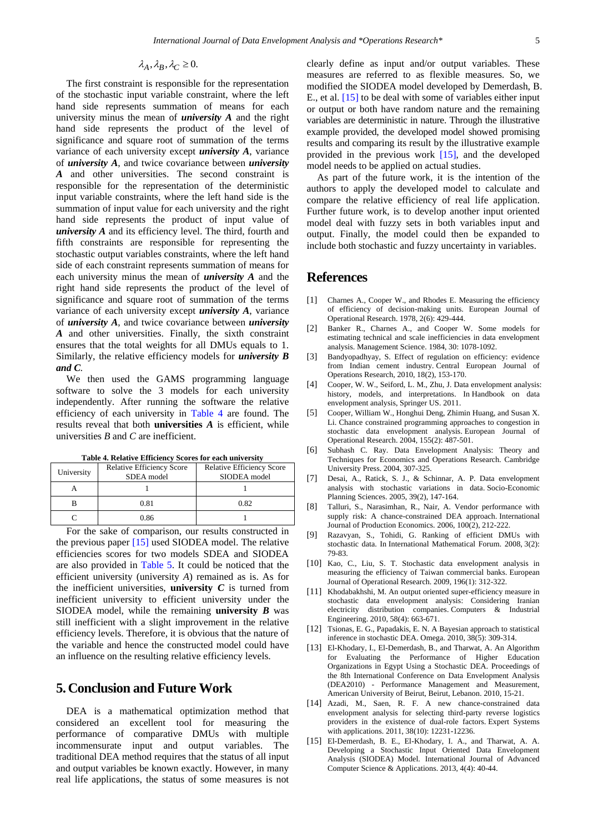#### $\lambda_A, \lambda_B, \lambda_C \geq 0$ .

The first constraint is responsible for the representation of the stochastic input variable constraint, where the left hand side represents summation of means for each university minus the mean of *university A* and the right hand side represents the product of the level of significance and square root of summation of the terms variance of each university except *university A*, variance of *university A*, and twice covariance between *university A* and other universities. The second constraint is responsible for the representation of the deterministic input variable constraints, where the left hand side is the summation of input value for each university and the right hand side represents the product of input value of *university A* and its efficiency level. The third, fourth and fifth constraints are responsible for representing the stochastic output variables constraints, where the left hand side of each constraint represents summation of means for each university minus the mean of *university A* and the right hand side represents the product of the level of significance and square root of summation of the terms variance of each university except *university A*, variance of *university A*, and twice covariance between *university A* and other universities. Finally, the sixth constraint ensures that the total weights for all DMUs equals to 1. Similarly, the relative efficiency models for *university B and C.*

We then used the GAMS programming language software to solve the 3 models for each university independently. After running the software the relative efficiency of each university in [Table 4](#page-4-15) are found. The results reveal that both **universities** *A* is efficient, while universities *B* and *C* are inefficient.

<span id="page-4-15"></span>

| University | <b>Relative Efficiency Score</b><br>SDEA model | <b>Relative Efficiency Score</b><br>SIODEA model |
|------------|------------------------------------------------|--------------------------------------------------|
|            |                                                |                                                  |
|            | 0.81                                           | 0.82                                             |
|            | 0.86                                           |                                                  |

**Table 4. Relative Efficiency Scores for each university**

For the sake of comparison, our results constructed in the previous paper [\[15\]](#page-4-14) used SIODEA model. The relative efficiencies scores for two models SDEA and SIODEA are also provided in Table 5. It could be noticed that the efficient university (university *A*) remained as is. As for the inefficient universities, **university**  $C$  is turned from inefficient university to efficient university under the SIODEA model, while the remaining **university** *B* was still inefficient with a slight improvement in the relative efficiency levels. Therefore, it is obvious that the nature of the variable and hence the constructed model could have an influence on the resulting relative efficiency levels.

# **5.Conclusion and Future Work**

DEA is a mathematical optimization method that considered an excellent tool for measuring the performance of comparative DMUs with multiple incommensurate input and output variables. The traditional DEA method requires that the status of all input and output variables be known exactly. However, in many real life applications, the status of some measures is not clearly define as input and/or output variables. These measures are referred to as flexible measures. So, we modified the SIODEA model developed by Demerdash, B. E., et al. [\[15\]](#page-4-14) to be deal with some of variables either input or output or both have random nature and the remaining variables are deterministic in nature. Through the illustrative example provided, the developed model showed promising results and comparing its result by the illustrative example provided in the previous work [\[15\],](#page-4-14) and the developed model needs to be applied on actual studies.

As part of the future work, it is the intention of the authors to apply the developed model to calculate and compare the relative efficiency of real life application. Further future work, is to develop another input oriented model deal with fuzzy sets in both variables input and output. Finally, the model could then be expanded to include both stochastic and fuzzy uncertainty in variables.

## **References**

- <span id="page-4-0"></span>[1] Charnes A., Cooper W., and Rhodes E. Measuring the efficiency of efficiency of decision-making units. European Journal of Operational Research. 1978, 2(6): 429-444.
- <span id="page-4-1"></span>[2] Banker R., Charnes A., and Cooper W. Some models for estimating technical and scale inefficiencies in data envelopment analysis. Management Science. 1984, 30: 1078-1092.
- <span id="page-4-2"></span>[3] Bandyopadhyay, S. Effect of regulation on efficiency: evidence from Indian cement industry. Central European Journal of Operations Research*,* 2010, 18(2), 153-170.
- <span id="page-4-3"></span>[4] Cooper, W. W., Seiford, L. M., Zhu, J. Data envelopment analysis: history, models, and interpretations. In Handbook on data envelopment analysis, Springer US. 2011.
- <span id="page-4-4"></span>[5] Cooper, William W., Honghui Deng, Zhimin Huang, and Susan X. Li. Chance constrained programming approaches to congestion in stochastic data envelopment analysis. European Journal of Operational Research. 2004, 155(2): 487-501.
- <span id="page-4-5"></span>[6] Subhash C. Ray. Data Envelopment Analysis: Theory and Techniques for Economics and Operations Research. Cambridge University Press. 2004, 307-325.
- <span id="page-4-6"></span>[7] Desai, A., Ratick, S. J., & Schinnar, A. P. Data envelopment analysis with stochastic variations in data. Socio-Economic Planning Sciences. 2005, 39(2), 147-164.
- <span id="page-4-7"></span>[8] Talluri, S., Narasimhan, R., Nair, A. Vendor performance with supply risk: A chance-constrained DEA approach. International Journal of Production Economics. 2006, 100(2), 212-222.
- <span id="page-4-8"></span>[9] Razavyan, S., Tohidi, G. Ranking of efficient DMUs with stochastic data. In International Mathematical Forum. 2008, 3(2): 79-83.
- <span id="page-4-9"></span>[10] Kao, C., Liu, S. T. Stochastic data envelopment analysis in measuring the efficiency of Taiwan commercial banks. European Journal of Operational Research. 2009, 196(1): 312-322.
- <span id="page-4-10"></span>[11] Khodabakhshi, M. An output oriented super-efficiency measure in stochastic data envelopment analysis: Considering Iranian electricity distribution companies. Computers & Industrial Engineering. 2010, 58(4): 663-671.
- <span id="page-4-11"></span>[12] Tsionas, E. G., Papadakis, E. N. A Bayesian approach to statistical inference in stochastic DEA. Omega. 2010, 38(5): 309-314.
- <span id="page-4-12"></span>[13] El-Khodary, I., El-Demerdash, B., and Tharwat, A. An Algorithm for Evaluating the Performance of Higher Education Organizations in Egypt Using a Stochastic DEA. Proceedings of the 8th International Conference on Data Envelopment Analysis (DEA2010) - Performance Management and Measurement, American University of Beirut, Beirut, Lebanon. 2010, 15-21.
- <span id="page-4-13"></span>[14] Azadi, M., Saen, R. F. A new chance-constrained data envelopment analysis for selecting third-party reverse logistics providers in the existence of dual-role factors. Expert Systems with applications. 2011, 38(10): 12231-12236.
- <span id="page-4-14"></span>[15] El-Demerdash, B. E., El-Khodary, I. A., and Tharwat, A. A. Developing a Stochastic Input Oriented Data Envelopment Analysis (SIODEA) Model. International Journal of Advanced Computer Science & Applications. 2013, 4(4): 40-44.